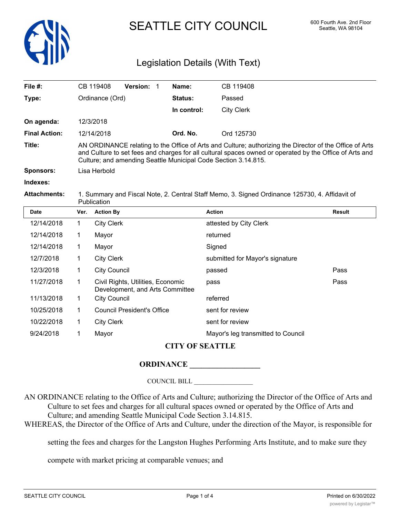

# SEATTLE CITY COUNCIL 600 Fourth Ave. 2nd Floor

# Legislation Details (With Text)

| File $#$ :           |                                                                                                                                                                                                                                                                                      | Version: 1<br>CB 119408                                              | Name:          | CB 119408                          |               |
|----------------------|--------------------------------------------------------------------------------------------------------------------------------------------------------------------------------------------------------------------------------------------------------------------------------------|----------------------------------------------------------------------|----------------|------------------------------------|---------------|
| Type:                |                                                                                                                                                                                                                                                                                      | Ordinance (Ord)                                                      | <b>Status:</b> | Passed                             |               |
|                      |                                                                                                                                                                                                                                                                                      |                                                                      | In control:    | <b>City Clerk</b>                  |               |
| On agenda:           |                                                                                                                                                                                                                                                                                      | 12/3/2018                                                            |                |                                    |               |
| <b>Final Action:</b> |                                                                                                                                                                                                                                                                                      | 12/14/2018                                                           | Ord. No.       | Ord 125730                         |               |
| Title:               | AN ORDINANCE relating to the Office of Arts and Culture; authorizing the Director of the Office of Arts<br>and Culture to set fees and charges for all cultural spaces owned or operated by the Office of Arts and<br>Culture; and amending Seattle Municipal Code Section 3.14.815. |                                                                      |                |                                    |               |
| <b>Sponsors:</b>     | Lisa Herbold                                                                                                                                                                                                                                                                         |                                                                      |                |                                    |               |
| Indexes:             |                                                                                                                                                                                                                                                                                      |                                                                      |                |                                    |               |
| <b>Attachments:</b>  | 1. Summary and Fiscal Note, 2. Central Staff Memo, 3. Signed Ordinance 125730, 4. Affidavit of<br>Publication                                                                                                                                                                        |                                                                      |                |                                    |               |
| <b>Date</b>          | Ver.                                                                                                                                                                                                                                                                                 | <b>Action By</b>                                                     |                | <b>Action</b>                      | <b>Result</b> |
| 12/14/2018           | 1                                                                                                                                                                                                                                                                                    | <b>City Clerk</b>                                                    |                | attested by City Clerk             |               |
| 12/14/2018           | 1                                                                                                                                                                                                                                                                                    | Mayor                                                                |                | returned                           |               |
| 12/14/2018           | 1                                                                                                                                                                                                                                                                                    | Mayor                                                                |                | Signed                             |               |
| 12/7/2018            | 1.                                                                                                                                                                                                                                                                                   | <b>City Clerk</b>                                                    |                | submitted for Mayor's signature    |               |
| 12/3/2018            | 1                                                                                                                                                                                                                                                                                    | <b>City Council</b>                                                  |                | passed                             | Pass          |
| 11/27/2018           | 1                                                                                                                                                                                                                                                                                    | Civil Rights, Utilities, Economic<br>Development, and Arts Committee |                | pass                               | Pass          |
| 11/13/2018           | 1                                                                                                                                                                                                                                                                                    | <b>City Council</b>                                                  |                | referred                           |               |
| 10/25/2018           | 1                                                                                                                                                                                                                                                                                    | <b>Council President's Office</b>                                    |                | sent for review                    |               |
| 10/22/2018           | 1                                                                                                                                                                                                                                                                                    | <b>City Clerk</b>                                                    |                | sent for review                    |               |
| 9/24/2018            | 1                                                                                                                                                                                                                                                                                    | Mayor                                                                |                | Mayor's leg transmitted to Council |               |

## **CITY OF SEATTLE**

### **ORDINANCE \_\_\_\_\_\_\_\_\_\_\_\_\_\_\_\_\_\_**

COUNCIL BILL \_\_\_\_\_\_\_\_\_\_\_\_\_\_\_\_\_\_

AN ORDINANCE relating to the Office of Arts and Culture; authorizing the Director of the Office of Arts and Culture to set fees and charges for all cultural spaces owned or operated by the Office of Arts and Culture; and amending Seattle Municipal Code Section 3.14.815.

WHEREAS, the Director of the Office of Arts and Culture, under the direction of the Mayor, is responsible for

setting the fees and charges for the Langston Hughes Performing Arts Institute, and to make sure they

compete with market pricing at comparable venues; and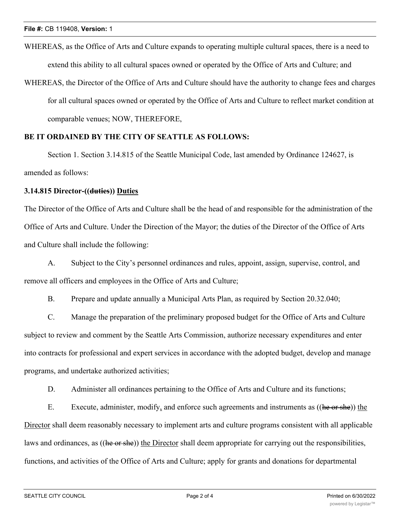WHEREAS, as the Office of Arts and Culture expands to operating multiple cultural spaces, there is a need to extend this ability to all cultural spaces owned or operated by the Office of Arts and Culture; and

WHEREAS, the Director of the Office of Arts and Culture should have the authority to change fees and charges for all cultural spaces owned or operated by the Office of Arts and Culture to reflect market condition at comparable venues; NOW, THEREFORE,

#### **BE IT ORDAINED BY THE CITY OF SEATTLE AS FOLLOWS:**

Section 1. Section 3.14.815 of the Seattle Municipal Code, last amended by Ordinance 124627, is amended as follows:

#### **3.14.815 Director-((duties)) Duties**

The Director of the Office of Arts and Culture shall be the head of and responsible for the administration of the Office of Arts and Culture. Under the Direction of the Mayor; the duties of the Director of the Office of Arts and Culture shall include the following:

A. Subject to the City's personnel ordinances and rules, appoint, assign, supervise, control, and remove all officers and employees in the Office of Arts and Culture;

B. Prepare and update annually a Municipal Arts Plan, as required by Section 20.32.040;

C. Manage the preparation of the preliminary proposed budget for the Office of Arts and Culture subject to review and comment by the Seattle Arts Commission, authorize necessary expenditures and enter into contracts for professional and expert services in accordance with the adopted budget, develop and manage programs, and undertake authorized activities;

D. Administer all ordinances pertaining to the Office of Arts and Culture and its functions;

E. Execute, administer, modify, and enforce such agreements and instruments as ((he or she)) the Director shall deem reasonably necessary to implement arts and culture programs consistent with all applicable laws and ordinances, as ((he or she)) the Director shall deem appropriate for carrying out the responsibilities, functions, and activities of the Office of Arts and Culture; apply for grants and donations for departmental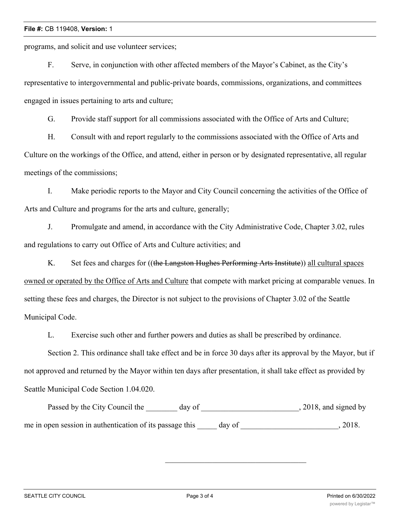#### **File #:** CB 119408, **Version:** 1

programs, and solicit and use volunteer services;

F. Serve, in conjunction with other affected members of the Mayor's Cabinet, as the City's representative to intergovernmental and public-private boards, commissions, organizations, and committees engaged in issues pertaining to arts and culture;

G. Provide staff support for all commissions associated with the Office of Arts and Culture;

H. Consult with and report regularly to the commissions associated with the Office of Arts and Culture on the workings of the Office, and attend, either in person or by designated representative, all regular meetings of the commissions;

I. Make periodic reports to the Mayor and City Council concerning the activities of the Office of Arts and Culture and programs for the arts and culture, generally;

J. Promulgate and amend, in accordance with the City Administrative Code, Chapter 3.02, rules and regulations to carry out Office of Arts and Culture activities; and

K. Set fees and charges for ((the Langston Hughes Performing Arts Institute)) all cultural spaces owned or operated by the Office of Arts and Culture that compete with market pricing at comparable venues. In setting these fees and charges, the Director is not subject to the provisions of Chapter 3.02 of the Seattle Municipal Code.

L. Exercise such other and further powers and duties as shall be prescribed by ordinance.

Section 2. This ordinance shall take effect and be in force 30 days after its approval by the Mayor, but if not approved and returned by the Mayor within ten days after presentation, it shall take effect as provided by Seattle Municipal Code Section 1.04.020.

Passed by the City Council the \_\_\_\_\_\_\_ day of \_\_\_\_\_\_\_\_\_\_\_\_\_\_\_\_\_\_\_\_\_\_\_\_, 2018, and signed by me in open session in authentication of its passage this day of  $\qquad \qquad$ , 2018.